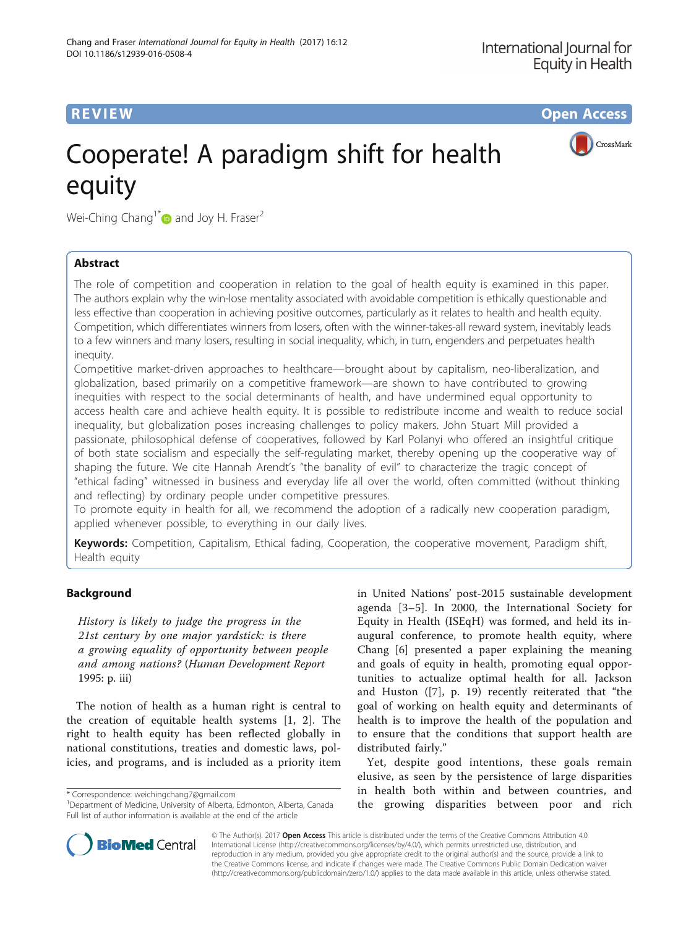**REVIEW CONSTRUCTION CONSTRUCTION CONSTRUCTS** 

CrossMark

# Cooperate! A paradigm shift for health equity

Wei-Ching Chang<sup>1[\\*](http://orcid.org/0000-0001-8230-5593)</sup> and Joy H. Fraser<sup>2</sup>

# Abstract

The role of competition and cooperation in relation to the goal of health equity is examined in this paper. The authors explain why the win-lose mentality associated with avoidable competition is ethically questionable and less effective than cooperation in achieving positive outcomes, particularly as it relates to health and health equity. Competition, which differentiates winners from losers, often with the winner-takes-all reward system, inevitably leads to a few winners and many losers, resulting in social inequality, which, in turn, engenders and perpetuates health inequity.

Competitive market-driven approaches to healthcare—brought about by capitalism, neo-liberalization, and globalization, based primarily on a competitive framework—are shown to have contributed to growing inequities with respect to the social determinants of health, and have undermined equal opportunity to access health care and achieve health equity. It is possible to redistribute income and wealth to reduce social inequality, but globalization poses increasing challenges to policy makers. John Stuart Mill provided a passionate, philosophical defense of cooperatives, followed by Karl Polanyi who offered an insightful critique of both state socialism and especially the self-regulating market, thereby opening up the cooperative way of shaping the future. We cite Hannah Arendt's "the banality of evil" to characterize the tragic concept of "ethical fading" witnessed in business and everyday life all over the world, often committed (without thinking and reflecting) by ordinary people under competitive pressures.

To promote equity in health for all, we recommend the adoption of a radically new cooperation paradigm, applied whenever possible, to everything in our daily lives.

Keywords: Competition, Capitalism, Ethical fading, Cooperation, the cooperative movement, Paradigm shift, Health equity

# Background

History is likely to judge the progress in the 21st century by one major yardstick: is there a growing equality of opportunity between people and among nations? (Human Development Report 1995: p. iii)

The notion of health as a human right is central to the creation of equitable health systems [[1](#page-10-0), [2\]](#page-10-0). The right to health equity has been reflected globally in national constitutions, treaties and domestic laws, policies, and programs, and is included as a priority item

\* Correspondence: [weichingchang7@gmail.com](mailto:weichingchang7@gmail.com) <sup>1</sup>

in United Nations' post-2015 sustainable development agenda [[3](#page-11-0)–[5\]](#page-11-0). In 2000, the International Society for Equity in Health (ISEqH) was formed, and held its inaugural conference, to promote health equity, where Chang [[6\]](#page-11-0) presented a paper explaining the meaning and goals of equity in health, promoting equal opportunities to actualize optimal health for all. Jackson and Huston ([\[7](#page-11-0)], p. 19) recently reiterated that "the goal of working on health equity and determinants of health is to improve the health of the population and to ensure that the conditions that support health are distributed fairly."

Yet, despite good intentions, these goals remain elusive, as seen by the persistence of large disparities in health both within and between countries, and the growing disparities between poor and rich



© The Author(s). 2017 **Open Access** This article is distributed under the terms of the Creative Commons Attribution 4.0 International License [\(http://creativecommons.org/licenses/by/4.0/](http://creativecommons.org/licenses/by/4.0/)), which permits unrestricted use, distribution, and reproduction in any medium, provided you give appropriate credit to the original author(s) and the source, provide a link to the Creative Commons license, and indicate if changes were made. The Creative Commons Public Domain Dedication waiver [\(http://creativecommons.org/publicdomain/zero/1.0/](http://creativecommons.org/publicdomain/zero/1.0/)) applies to the data made available in this article, unless otherwise stated.

<sup>&</sup>lt;sup>1</sup>Department of Medicine, University of Alberta, Edmonton, Alberta, Canada Full list of author information is available at the end of the article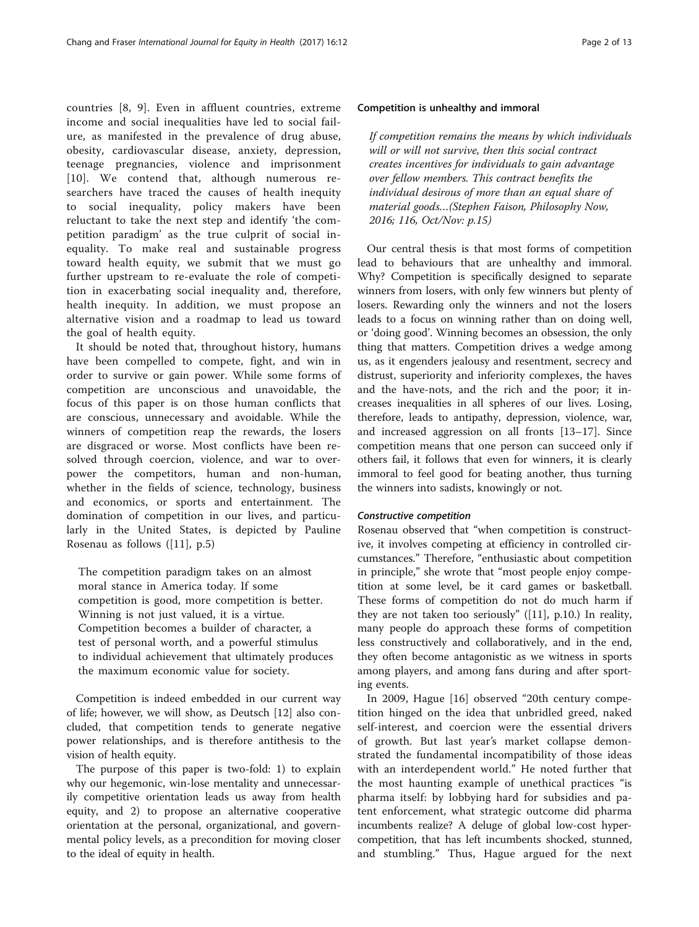countries [[8, 9](#page-11-0)]. Even in affluent countries, extreme income and social inequalities have led to social failure, as manifested in the prevalence of drug abuse, obesity, cardiovascular disease, anxiety, depression, teenage pregnancies, violence and imprisonment [[10](#page-11-0)]. We contend that, although numerous researchers have traced the causes of health inequity to social inequality, policy makers have been reluctant to take the next step and identify 'the competition paradigm' as the true culprit of social inequality. To make real and sustainable progress toward health equity, we submit that we must go further upstream to re-evaluate the role of competition in exacerbating social inequality and, therefore, health inequity. In addition, we must propose an alternative vision and a roadmap to lead us toward the goal of health equity.

It should be noted that, throughout history, humans have been compelled to compete, fight, and win in order to survive or gain power. While some forms of competition are unconscious and unavoidable, the focus of this paper is on those human conflicts that are conscious, unnecessary and avoidable. While the winners of competition reap the rewards, the losers are disgraced or worse. Most conflicts have been resolved through coercion, violence, and war to overpower the competitors, human and non-human, whether in the fields of science, technology, business and economics, or sports and entertainment. The domination of competition in our lives, and particularly in the United States, is depicted by Pauline Rosenau as follows ([[11\]](#page-11-0), p.5)

The competition paradigm takes on an almost moral stance in America today. If some competition is good, more competition is better. Winning is not just valued, it is a virtue. Competition becomes a builder of character, a test of personal worth, and a powerful stimulus to individual achievement that ultimately produces the maximum economic value for society.

Competition is indeed embedded in our current way of life; however, we will show, as Deutsch [\[12](#page-11-0)] also concluded, that competition tends to generate negative power relationships, and is therefore antithesis to the vision of health equity.

The purpose of this paper is two-fold: 1) to explain why our hegemonic, win-lose mentality and unnecessarily competitive orientation leads us away from health equity, and 2) to propose an alternative cooperative orientation at the personal, organizational, and governmental policy levels, as a precondition for moving closer to the ideal of equity in health.

# Competition is unhealthy and immoral

If competition remains the means by which individuals will or will not survive, then this social contract creates incentives for individuals to gain advantage over fellow members. This contract benefits the individual desirous of more than an equal share of material goods…(Stephen Faison, Philosophy Now, 2016; 116, Oct/Nov: p.15)

Our central thesis is that most forms of competition lead to behaviours that are unhealthy and immoral. Why? Competition is specifically designed to separate winners from losers, with only few winners but plenty of losers. Rewarding only the winners and not the losers leads to a focus on winning rather than on doing well, or 'doing good'. Winning becomes an obsession, the only thing that matters. Competition drives a wedge among us, as it engenders jealousy and resentment, secrecy and distrust, superiority and inferiority complexes, the haves and the have-nots, and the rich and the poor; it increases inequalities in all spheres of our lives. Losing, therefore, leads to antipathy, depression, violence, war, and increased aggression on all fronts [\[13](#page-11-0)–[17](#page-11-0)]. Since competition means that one person can succeed only if others fail, it follows that even for winners, it is clearly immoral to feel good for beating another, thus turning the winners into sadists, knowingly or not.

# Constructive competition

Rosenau observed that "when competition is constructive, it involves competing at efficiency in controlled circumstances." Therefore, "enthusiastic about competition in principle," she wrote that "most people enjoy competition at some level, be it card games or basketball. These forms of competition do not do much harm if they are not taken too seriously" ([\[11\]](#page-11-0), p.10.) In reality, many people do approach these forms of competition less constructively and collaboratively, and in the end, they often become antagonistic as we witness in sports among players, and among fans during and after sporting events.

In 2009, Hague [\[16](#page-11-0)] observed "20th century competition hinged on the idea that unbridled greed, naked self-interest, and coercion were the essential drivers of growth. But last year's market collapse demonstrated the fundamental incompatibility of those ideas with an interdependent world." He noted further that the most haunting example of unethical practices "is pharma itself: by lobbying hard for subsidies and patent enforcement, what strategic outcome did pharma incumbents realize? A deluge of global low-cost hypercompetition, that has left incumbents shocked, stunned, and stumbling." Thus, Hague argued for the next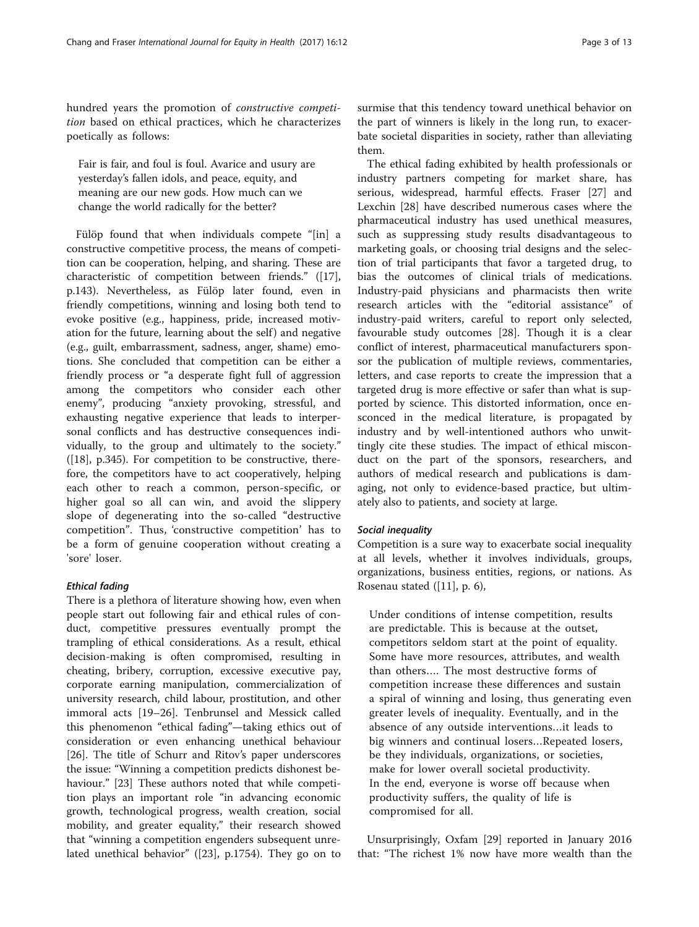hundred years the promotion of constructive competition based on ethical practices, which he characterizes poetically as follows:

Fair is fair, and foul is foul. Avarice and usury are yesterday's fallen idols, and peace, equity, and meaning are our new gods. How much can we change the world radically for the better?

Fülöp found that when individuals compete "[in] a constructive competitive process, the means of competition can be cooperation, helping, and sharing. These are characteristic of competition between friends." ([\[17](#page-11-0)], p.143). Nevertheless, as Fülöp later found, even in friendly competitions, winning and losing both tend to evoke positive (e.g., happiness, pride, increased motivation for the future, learning about the self) and negative (e.g., guilt, embarrassment, sadness, anger, shame) emotions. She concluded that competition can be either a friendly process or "a desperate fight full of aggression among the competitors who consider each other enemy", producing "anxiety provoking, stressful, and exhausting negative experience that leads to interpersonal conflicts and has destructive consequences individually, to the group and ultimately to the society."  $([18]$  $([18]$ , p.345). For competition to be constructive, therefore, the competitors have to act cooperatively, helping each other to reach a common, person-specific, or higher goal so all can win, and avoid the slippery slope of degenerating into the so-called "destructive competition". Thus, 'constructive competition' has to be a form of genuine cooperation without creating a 'sore' loser.

# Ethical fading

There is a plethora of literature showing how, even when people start out following fair and ethical rules of conduct, competitive pressures eventually prompt the trampling of ethical considerations. As a result, ethical decision-making is often compromised, resulting in cheating, bribery, corruption, excessive executive pay, corporate earning manipulation, commercialization of university research, child labour, prostitution, and other immoral acts [[19](#page-11-0)–[26](#page-11-0)]. Tenbrunsel and Messick called this phenomenon "ethical fading"—taking ethics out of consideration or even enhancing unethical behaviour [[26\]](#page-11-0). The title of Schurr and Ritov's paper underscores the issue: "Winning a competition predicts dishonest behaviour." [\[23](#page-11-0)] These authors noted that while competition plays an important role "in advancing economic growth, technological progress, wealth creation, social mobility, and greater equality," their research showed that "winning a competition engenders subsequent unrelated unethical behavior" ([[23\]](#page-11-0), p.1754). They go on to

surmise that this tendency toward unethical behavior on the part of winners is likely in the long run, to exacerbate societal disparities in society, rather than alleviating them.

The ethical fading exhibited by health professionals or industry partners competing for market share, has serious, widespread, harmful effects. Fraser [\[27](#page-11-0)] and Lexchin [\[28](#page-11-0)] have described numerous cases where the pharmaceutical industry has used unethical measures, such as suppressing study results disadvantageous to marketing goals, or choosing trial designs and the selection of trial participants that favor a targeted drug, to bias the outcomes of clinical trials of medications. Industry-paid physicians and pharmacists then write research articles with the "editorial assistance" of industry-paid writers, careful to report only selected, favourable study outcomes [[28\]](#page-11-0). Though it is a clear conflict of interest, pharmaceutical manufacturers sponsor the publication of multiple reviews, commentaries, letters, and case reports to create the impression that a targeted drug is more effective or safer than what is supported by science. This distorted information, once ensconced in the medical literature, is propagated by industry and by well-intentioned authors who unwittingly cite these studies. The impact of ethical misconduct on the part of the sponsors, researchers, and authors of medical research and publications is damaging, not only to evidence-based practice, but ultimately also to patients, and society at large.

# Social inequality

Competition is a sure way to exacerbate social inequality at all levels, whether it involves individuals, groups, organizations, business entities, regions, or nations. As Rosenau stated ([[11](#page-11-0)], p. 6),

Under conditions of intense competition, results are predictable. This is because at the outset, competitors seldom start at the point of equality. Some have more resources, attributes, and wealth than others…. The most destructive forms of competition increase these differences and sustain a spiral of winning and losing, thus generating even greater levels of inequality. Eventually, and in the absence of any outside interventions…it leads to big winners and continual losers…Repeated losers, be they individuals, organizations, or societies, make for lower overall societal productivity. In the end, everyone is worse off because when productivity suffers, the quality of life is compromised for all.

Unsurprisingly, Oxfam [[29\]](#page-11-0) reported in January 2016 that: "The richest 1% now have more wealth than the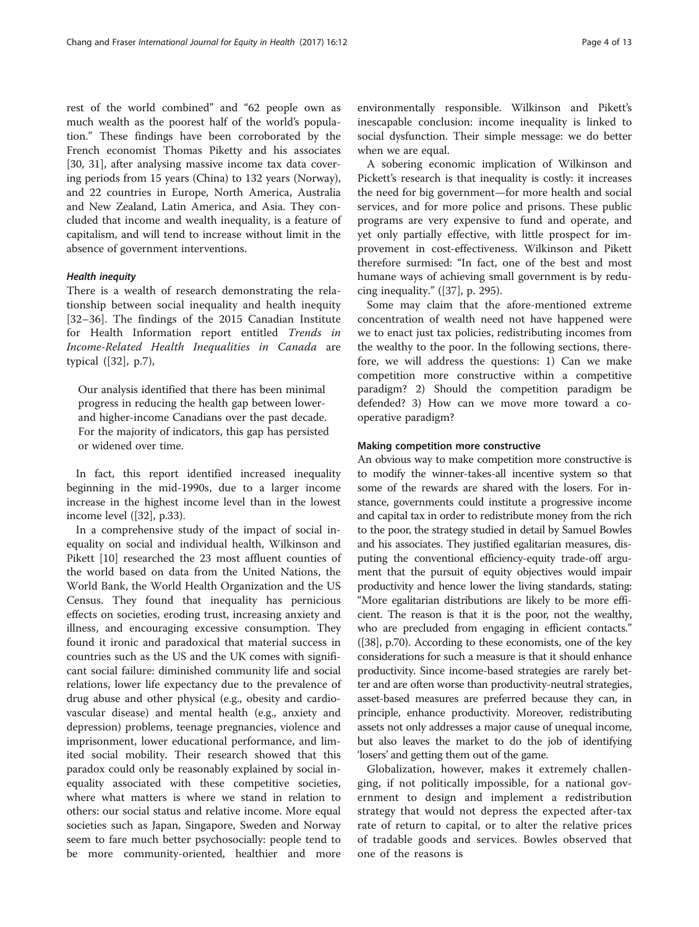rest of the world combined" and "62 people own as much wealth as the poorest half of the world's population." These findings have been corroborated by the French economist Thomas Piketty and his associates [[30, 31](#page-11-0)], after analysing massive income tax data covering periods from 15 years (China) to 132 years (Norway), and 22 countries in Europe, North America, Australia and New Zealand, Latin America, and Asia. They concluded that income and wealth inequality, is a feature of capitalism, and will tend to increase without limit in the absence of government interventions.

# Health inequity

There is a wealth of research demonstrating the relationship between social inequality and health inequity [[32](#page-11-0)–[36\]](#page-11-0). The findings of the 2015 Canadian Institute for Health Information report entitled Trends in Income-Related Health Inequalities in Canada are typical ([\[32](#page-11-0)], p.7),

Our analysis identified that there has been minimal progress in reducing the health gap between lowerand higher-income Canadians over the past decade. For the majority of indicators, this gap has persisted or widened over time.

In fact, this report identified increased inequality beginning in the mid-1990s, due to a larger income increase in the highest income level than in the lowest income level ([\[32](#page-11-0)], p.33).

In a comprehensive study of the impact of social inequality on social and individual health, Wilkinson and Pikett [[10\]](#page-11-0) researched the 23 most affluent counties of the world based on data from the United Nations, the World Bank, the World Health Organization and the US Census. They found that inequality has pernicious effects on societies, eroding trust, increasing anxiety and illness, and encouraging excessive consumption. They found it ironic and paradoxical that material success in countries such as the US and the UK comes with significant social failure: diminished community life and social relations, lower life expectancy due to the prevalence of drug abuse and other physical (e.g., obesity and cardiovascular disease) and mental health (e.g., anxiety and depression) problems, teenage pregnancies, violence and imprisonment, lower educational performance, and limited social mobility. Their research showed that this paradox could only be reasonably explained by social inequality associated with these competitive societies, where what matters is where we stand in relation to others: our social status and relative income. More equal societies such as Japan, Singapore, Sweden and Norway seem to fare much better psychosocially: people tend to be more community-oriented, healthier and more

environmentally responsible. Wilkinson and Pikett's inescapable conclusion: income inequality is linked to social dysfunction. Their simple message: we do better when we are equal.

A sobering economic implication of Wilkinson and Pickett's research is that inequality is costly: it increases the need for big government—for more health and social services, and for more police and prisons. These public programs are very expensive to fund and operate, and yet only partially effective, with little prospect for improvement in cost-effectiveness. Wilkinson and Pikett therefore surmised: "In fact, one of the best and most humane ways of achieving small government is by reducing inequality." ([[37\]](#page-11-0), p. 295).

Some may claim that the afore-mentioned extreme concentration of wealth need not have happened were we to enact just tax policies, redistributing incomes from the wealthy to the poor. In the following sections, therefore, we will address the questions: 1) Can we make competition more constructive within a competitive paradigm? 2) Should the competition paradigm be defended? 3) How can we move more toward a cooperative paradigm?

# Making competition more constructive

An obvious way to make competition more constructive is to modify the winner-takes-all incentive system so that some of the rewards are shared with the losers. For instance, governments could institute a progressive income and capital tax in order to redistribute money from the rich to the poor, the strategy studied in detail by Samuel Bowles and his associates. They justified egalitarian measures, disputing the conventional efficiency-equity trade-off argument that the pursuit of equity objectives would impair productivity and hence lower the living standards, stating: "More egalitarian distributions are likely to be more efficient. The reason is that it is the poor, not the wealthy, who are precluded from engaging in efficient contacts." ([[38](#page-11-0)], p.70). According to these economists, one of the key considerations for such a measure is that it should enhance productivity. Since income-based strategies are rarely better and are often worse than productivity-neutral strategies, asset-based measures are preferred because they can, in principle, enhance productivity. Moreover, redistributing assets not only addresses a major cause of unequal income, but also leaves the market to do the job of identifying 'losers' and getting them out of the game.

Globalization, however, makes it extremely challenging, if not politically impossible, for a national government to design and implement a redistribution strategy that would not depress the expected after-tax rate of return to capital, or to alter the relative prices of tradable goods and services. Bowles observed that one of the reasons is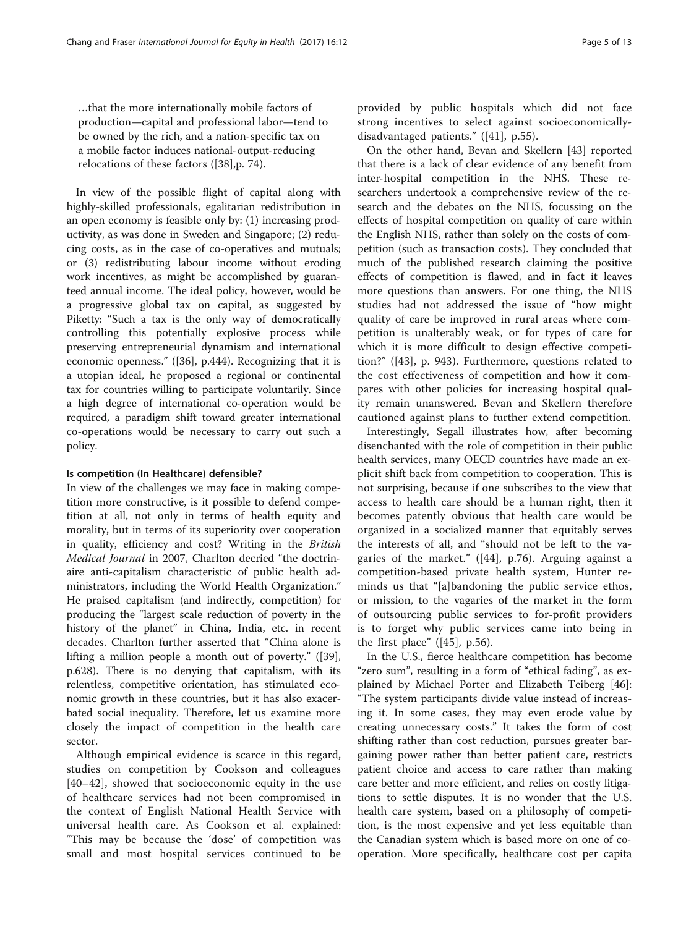…that the more internationally mobile factors of production—capital and professional labor—tend to be owned by the rich, and a nation-specific tax on a mobile factor induces national-output-reducing relocations of these factors ([[38\]](#page-11-0),p. 74).

In view of the possible flight of capital along with highly-skilled professionals, egalitarian redistribution in an open economy is feasible only by: (1) increasing productivity, as was done in Sweden and Singapore; (2) reducing costs, as in the case of co-operatives and mutuals; or (3) redistributing labour income without eroding work incentives, as might be accomplished by guaranteed annual income. The ideal policy, however, would be a progressive global tax on capital, as suggested by Piketty: "Such a tax is the only way of democratically controlling this potentially explosive process while preserving entrepreneurial dynamism and international economic openness." ([[36\]](#page-11-0), p.444). Recognizing that it is a utopian ideal, he proposed a regional or continental tax for countries willing to participate voluntarily. Since a high degree of international co-operation would be required, a paradigm shift toward greater international co-operations would be necessary to carry out such a policy.

# Is competition (In Healthcare) defensible?

In view of the challenges we may face in making competition more constructive, is it possible to defend competition at all, not only in terms of health equity and morality, but in terms of its superiority over cooperation in quality, efficiency and cost? Writing in the British Medical Journal in 2007, Charlton decried "the doctrinaire anti-capitalism characteristic of public health administrators, including the World Health Organization." He praised capitalism (and indirectly, competition) for producing the "largest scale reduction of poverty in the history of the planet" in China, India, etc. in recent decades. Charlton further asserted that "China alone is lifting a million people a month out of poverty." ([\[39](#page-11-0)], p.628). There is no denying that capitalism, with its relentless, competitive orientation, has stimulated economic growth in these countries, but it has also exacerbated social inequality. Therefore, let us examine more closely the impact of competition in the health care sector.

Although empirical evidence is scarce in this regard, studies on competition by Cookson and colleagues [[40](#page-11-0)–[42\]](#page-11-0), showed that socioeconomic equity in the use of healthcare services had not been compromised in the context of English National Health Service with universal health care. As Cookson et al. explained: "This may be because the 'dose' of competition was small and most hospital services continued to be provided by public hospitals which did not face strong incentives to select against socioeconomicallydisadvantaged patients." ([\[41](#page-11-0)], p.55).

On the other hand, Bevan and Skellern [[43\]](#page-11-0) reported that there is a lack of clear evidence of any benefit from inter-hospital competition in the NHS. These researchers undertook a comprehensive review of the research and the debates on the NHS, focussing on the effects of hospital competition on quality of care within the English NHS, rather than solely on the costs of competition (such as transaction costs). They concluded that much of the published research claiming the positive effects of competition is flawed, and in fact it leaves more questions than answers. For one thing, the NHS studies had not addressed the issue of "how might quality of care be improved in rural areas where competition is unalterably weak, or for types of care for which it is more difficult to design effective competition?" ([\[43](#page-11-0)], p. 943). Furthermore, questions related to the cost effectiveness of competition and how it compares with other policies for increasing hospital quality remain unanswered. Bevan and Skellern therefore cautioned against plans to further extend competition.

Interestingly, Segall illustrates how, after becoming disenchanted with the role of competition in their public health services, many OECD countries have made an explicit shift back from competition to cooperation. This is not surprising, because if one subscribes to the view that access to health care should be a human right, then it becomes patently obvious that health care would be organized in a socialized manner that equitably serves the interests of all, and "should not be left to the vagaries of the market." ([\[44](#page-11-0)], p.76). Arguing against a competition-based private health system, Hunter reminds us that "[a]bandoning the public service ethos, or mission, to the vagaries of the market in the form of outsourcing public services to for-profit providers is to forget why public services came into being in the first place"  $([45], p.56)$  $([45], p.56)$  $([45], p.56)$ .

In the U.S., fierce healthcare competition has become "zero sum", resulting in a form of "ethical fading", as explained by Michael Porter and Elizabeth Teiberg [\[46](#page-11-0)]: "The system participants divide value instead of increasing it. In some cases, they may even erode value by creating unnecessary costs." It takes the form of cost shifting rather than cost reduction, pursues greater bargaining power rather than better patient care, restricts patient choice and access to care rather than making care better and more efficient, and relies on costly litigations to settle disputes. It is no wonder that the U.S. health care system, based on a philosophy of competition, is the most expensive and yet less equitable than the Canadian system which is based more on one of cooperation. More specifically, healthcare cost per capita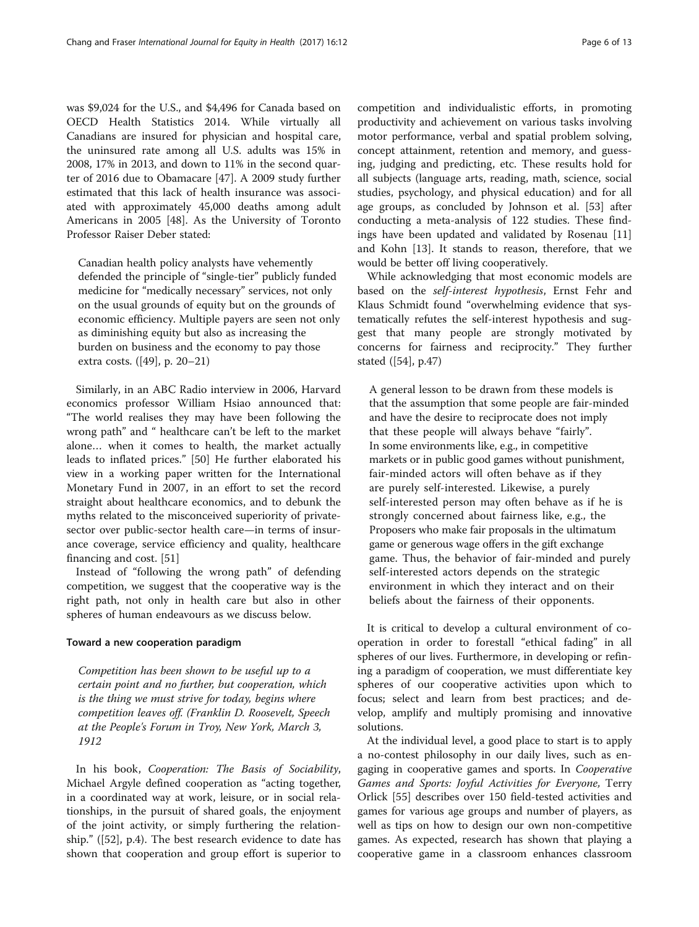was \$9,024 for the U.S., and \$4,496 for Canada based on OECD Health Statistics 2014. While virtually all Canadians are insured for physician and hospital care, the uninsured rate among all U.S. adults was 15% in 2008, 17% in 2013, and down to 11% in the second quarter of 2016 due to Obamacare [[47](#page-11-0)]. A 2009 study further estimated that this lack of health insurance was associated with approximately 45,000 deaths among adult Americans in 2005 [\[48\]](#page-11-0). As the University of Toronto Professor Raiser Deber stated:

Canadian health policy analysts have vehemently defended the principle of "single-tier" publicly funded medicine for "medically necessary" services, not only on the usual grounds of equity but on the grounds of economic efficiency. Multiple payers are seen not only as diminishing equity but also as increasing the burden on business and the economy to pay those extra costs. ([[49\]](#page-11-0), p. 20–21)

Similarly, in an ABC Radio interview in 2006, Harvard economics professor William Hsiao announced that: "The world realises they may have been following the wrong path" and " healthcare can't be left to the market alone… when it comes to health, the market actually leads to inflated prices." [[50\]](#page-11-0) He further elaborated his view in a working paper written for the International Monetary Fund in 2007, in an effort to set the record straight about healthcare economics, and to debunk the myths related to the misconceived superiority of privatesector over public-sector health care—in terms of insurance coverage, service efficiency and quality, healthcare financing and cost. [\[51\]](#page-11-0)

Instead of "following the wrong path" of defending competition, we suggest that the cooperative way is the right path, not only in health care but also in other spheres of human endeavours as we discuss below.

# Toward a new cooperation paradigm

Competition has been shown to be useful up to a certain point and no further, but cooperation, which is the thing we must strive for today, begins where competition leaves off. (Franklin D. Roosevelt, Speech at the People's Forum in Troy, New York, March 3, 1912

In his book, Cooperation: The Basis of Sociability, Michael Argyle defined cooperation as "acting together, in a coordinated way at work, leisure, or in social relationships, in the pursuit of shared goals, the enjoyment of the joint activity, or simply furthering the relationship." ([\[52\]](#page-11-0), p.4). The best research evidence to date has shown that cooperation and group effort is superior to

competition and individualistic efforts, in promoting productivity and achievement on various tasks involving motor performance, verbal and spatial problem solving, concept attainment, retention and memory, and guessing, judging and predicting, etc. These results hold for all subjects (language arts, reading, math, science, social studies, psychology, and physical education) and for all age groups, as concluded by Johnson et al. [[53\]](#page-11-0) after conducting a meta-analysis of 122 studies. These findings have been updated and validated by Rosenau [[11](#page-11-0)] and Kohn [[13](#page-11-0)]. It stands to reason, therefore, that we would be better off living cooperatively.

While acknowledging that most economic models are based on the self-interest hypothesis, Ernst Fehr and Klaus Schmidt found "overwhelming evidence that systematically refutes the self-interest hypothesis and suggest that many people are strongly motivated by concerns for fairness and reciprocity." They further stated ([\[54\]](#page-11-0), p.47)

A general lesson to be drawn from these models is that the assumption that some people are fair-minded and have the desire to reciprocate does not imply that these people will always behave "fairly". In some environments like, e.g., in competitive markets or in public good games without punishment, fair-minded actors will often behave as if they are purely self-interested. Likewise, a purely self-interested person may often behave as if he is strongly concerned about fairness like, e.g., the Proposers who make fair proposals in the ultimatum game or generous wage offers in the gift exchange game. Thus, the behavior of fair-minded and purely self-interested actors depends on the strategic environment in which they interact and on their beliefs about the fairness of their opponents.

It is critical to develop a cultural environment of cooperation in order to forestall "ethical fading" in all spheres of our lives. Furthermore, in developing or refining a paradigm of cooperation, we must differentiate key spheres of our cooperative activities upon which to focus; select and learn from best practices; and develop, amplify and multiply promising and innovative solutions.

At the individual level, a good place to start is to apply a no-contest philosophy in our daily lives, such as engaging in cooperative games and sports. In Cooperative Games and Sports: Joyful Activities for Everyone, Terry Orlick [\[55](#page-11-0)] describes over 150 field-tested activities and games for various age groups and number of players, as well as tips on how to design our own non-competitive games. As expected, research has shown that playing a cooperative game in a classroom enhances classroom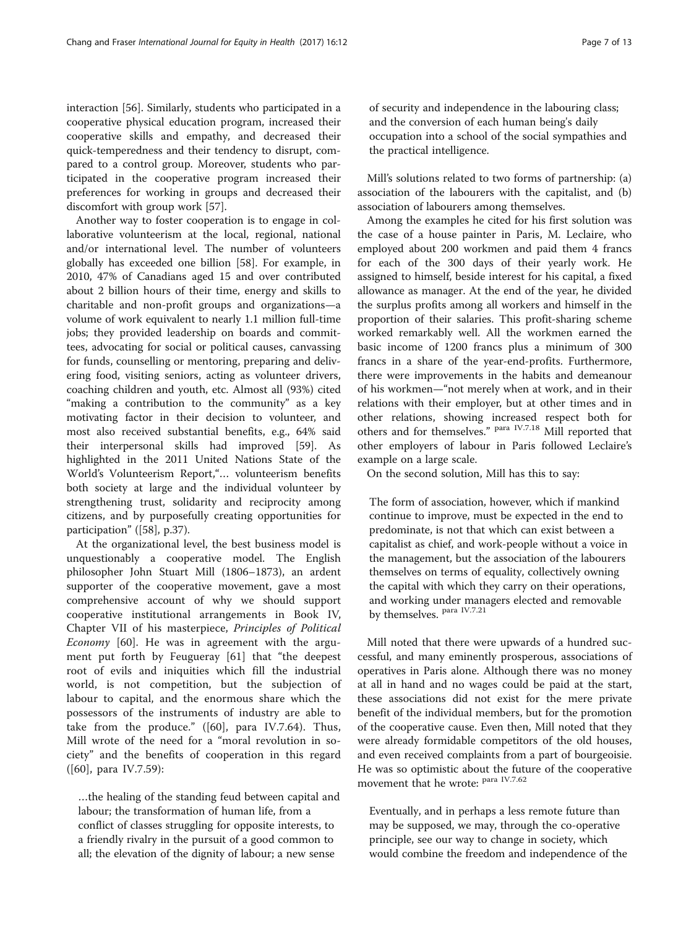interaction [\[56\]](#page-12-0). Similarly, students who participated in a cooperative physical education program, increased their cooperative skills and empathy, and decreased their quick-temperedness and their tendency to disrupt, compared to a control group. Moreover, students who participated in the cooperative program increased their preferences for working in groups and decreased their discomfort with group work [\[57\]](#page-12-0).

Another way to foster cooperation is to engage in collaborative volunteerism at the local, regional, national and/or international level. The number of volunteers globally has exceeded one billion [\[58](#page-12-0)]. For example, in 2010, 47% of Canadians aged 15 and over contributed about 2 billion hours of their time, energy and skills to charitable and non-profit groups and organizations—a volume of work equivalent to nearly 1.1 million full-time jobs; they provided leadership on boards and committees, advocating for social or political causes, canvassing for funds, counselling or mentoring, preparing and delivering food, visiting seniors, acting as volunteer drivers, coaching children and youth, etc. Almost all (93%) cited "making a contribution to the community" as a key motivating factor in their decision to volunteer, and most also received substantial benefits, e.g., 64% said their interpersonal skills had improved [[59\]](#page-12-0). As highlighted in the 2011 United Nations State of the World's Volunteerism Report,"… volunteerism benefits both society at large and the individual volunteer by strengthening trust, solidarity and reciprocity among citizens, and by purposefully creating opportunities for participation" ([\[58](#page-12-0)], p.37).

At the organizational level, the best business model is unquestionably a cooperative model. The English philosopher John Stuart Mill (1806–1873), an ardent supporter of the cooperative movement, gave a most comprehensive account of why we should support cooperative institutional arrangements in Book IV, Chapter VII of his masterpiece, Principles of Political Economy [[60\]](#page-12-0). He was in agreement with the argument put forth by Feugueray [\[61](#page-12-0)] that "the deepest root of evils and iniquities which fill the industrial world, is not competition, but the subjection of labour to capital, and the enormous share which the possessors of the instruments of industry are able to take from the produce." ([\[60](#page-12-0)], para IV.7.64). Thus, Mill wrote of the need for a "moral revolution in society" and the benefits of cooperation in this regard ([\[60](#page-12-0)], para IV.7.59):

…the healing of the standing feud between capital and labour; the transformation of human life, from a conflict of classes struggling for opposite interests, to a friendly rivalry in the pursuit of a good common to all; the elevation of the dignity of labour; a new sense

of security and independence in the labouring class; and the conversion of each human being's daily occupation into a school of the social sympathies and the practical intelligence.

Mill's solutions related to two forms of partnership: (a) association of the labourers with the capitalist, and (b) association of labourers among themselves.

Among the examples he cited for his first solution was the case of a house painter in Paris, M. Leclaire, who employed about 200 workmen and paid them 4 francs for each of the 300 days of their yearly work. He assigned to himself, beside interest for his capital, a fixed allowance as manager. At the end of the year, he divided the surplus profits among all workers and himself in the proportion of their salaries. This profit-sharing scheme worked remarkably well. All the workmen earned the basic income of 1200 francs plus a minimum of 300 francs in a share of the year-end-profits. Furthermore, there were improvements in the habits and demeanour of his workmen—"not merely when at work, and in their relations with their employer, but at other times and in other relations, showing increased respect both for others and for themselves." para IV.7.18 Mill reported that other employers of labour in Paris followed Leclaire's example on a large scale.

On the second solution, Mill has this to say:

The form of association, however, which if mankind continue to improve, must be expected in the end to predominate, is not that which can exist between a capitalist as chief, and work-people without a voice in the management, but the association of the labourers themselves on terms of equality, collectively owning the capital with which they carry on their operations, and working under managers elected and removable by themselves. para IV.7.21

Mill noted that there were upwards of a hundred successful, and many eminently prosperous, associations of operatives in Paris alone. Although there was no money at all in hand and no wages could be paid at the start, these associations did not exist for the mere private benefit of the individual members, but for the promotion of the cooperative cause. Even then, Mill noted that they were already formidable competitors of the old houses, and even received complaints from a part of bourgeoisie. He was so optimistic about the future of the cooperative movement that he wrote: para IV.7.62

Eventually, and in perhaps a less remote future than may be supposed, we may, through the co-operative principle, see our way to change in society, which would combine the freedom and independence of the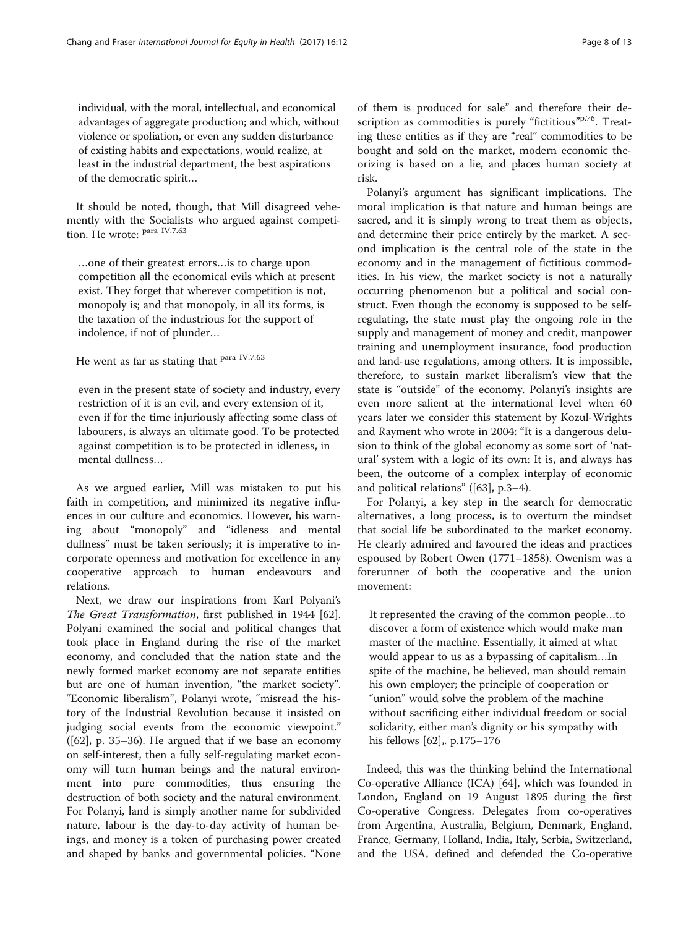individual, with the moral, intellectual, and economical advantages of aggregate production; and which, without violence or spoliation, or even any sudden disturbance of existing habits and expectations, would realize, at least in the industrial department, the best aspirations of the democratic spirit…

It should be noted, though, that Mill disagreed vehemently with the Socialists who argued against competition. He wrote: para IV.7.63

…one of their greatest errors…is to charge upon competition all the economical evils which at present exist. They forget that wherever competition is not, monopoly is; and that monopoly, in all its forms, is the taxation of the industrious for the support of indolence, if not of plunder…

# He went as far as stating that <sup>para IV.7.63</sup>

even in the present state of society and industry, every restriction of it is an evil, and every extension of it, even if for the time injuriously affecting some class of labourers, is always an ultimate good. To be protected against competition is to be protected in idleness, in mental dullness…

As we argued earlier, Mill was mistaken to put his faith in competition, and minimized its negative influences in our culture and economics. However, his warning about "monopoly" and "idleness and mental dullness" must be taken seriously; it is imperative to incorporate openness and motivation for excellence in any cooperative approach to human endeavours and relations.

Next, we draw our inspirations from Karl Polyani's The Great Transformation, first published in 1944 [\[62](#page-12-0)]. Polyani examined the social and political changes that took place in England during the rise of the market economy, and concluded that the nation state and the newly formed market economy are not separate entities but are one of human invention, "the market society". "Economic liberalism", Polanyi wrote, "misread the history of the Industrial Revolution because it insisted on judging social events from the economic viewpoint." ([\[62\]](#page-12-0), p. 35–36). He argued that if we base an economy on self-interest, then a fully self-regulating market economy will turn human beings and the natural environment into pure commodities, thus ensuring the destruction of both society and the natural environment. For Polanyi, land is simply another name for subdivided nature, labour is the day-to-day activity of human beings, and money is a token of purchasing power created and shaped by banks and governmental policies. "None of them is produced for sale" and therefore their description as commodities is purely "fictitious"<sup>p.76</sup>. Treating these entities as if they are "real" commodities to be bought and sold on the market, modern economic theorizing is based on a lie, and places human society at risk.

Polanyi's argument has significant implications. The moral implication is that nature and human beings are sacred, and it is simply wrong to treat them as objects, and determine their price entirely by the market. A second implication is the central role of the state in the economy and in the management of fictitious commodities. In his view, the market society is not a naturally occurring phenomenon but a political and social construct. Even though the economy is supposed to be selfregulating, the state must play the ongoing role in the supply and management of money and credit, manpower training and unemployment insurance, food production and land-use regulations, among others. It is impossible, therefore, to sustain market liberalism's view that the state is "outside" of the economy. Polanyi's insights are even more salient at the international level when 60 years later we consider this statement by Kozul-Wrights and Rayment who wrote in 2004: "It is a dangerous delusion to think of the global economy as some sort of 'natural' system with a logic of its own: It is, and always has been, the outcome of a complex interplay of economic and political relations" ([\[63\]](#page-12-0), p.3–4).

For Polanyi, a key step in the search for democratic alternatives, a long process, is to overturn the mindset that social life be subordinated to the market economy. He clearly admired and favoured the ideas and practices espoused by Robert Owen (1771–1858). Owenism was a forerunner of both the cooperative and the union movement:

It represented the craving of the common people…to discover a form of existence which would make man master of the machine. Essentially, it aimed at what would appear to us as a bypassing of capitalism…In spite of the machine, he believed, man should remain his own employer; the principle of cooperation or "union" would solve the problem of the machine without sacrificing either individual freedom or social solidarity, either man's dignity or his sympathy with his fellows [[62](#page-12-0)],. p.175–176

Indeed, this was the thinking behind the International Co-operative Alliance (ICA) [\[64\]](#page-12-0), which was founded in London, England on 19 August 1895 during the first Co-operative Congress. Delegates from co-operatives from Argentina, Australia, Belgium, Denmark, England, France, Germany, Holland, India, Italy, Serbia, Switzerland, and the USA, defined and defended the Co-operative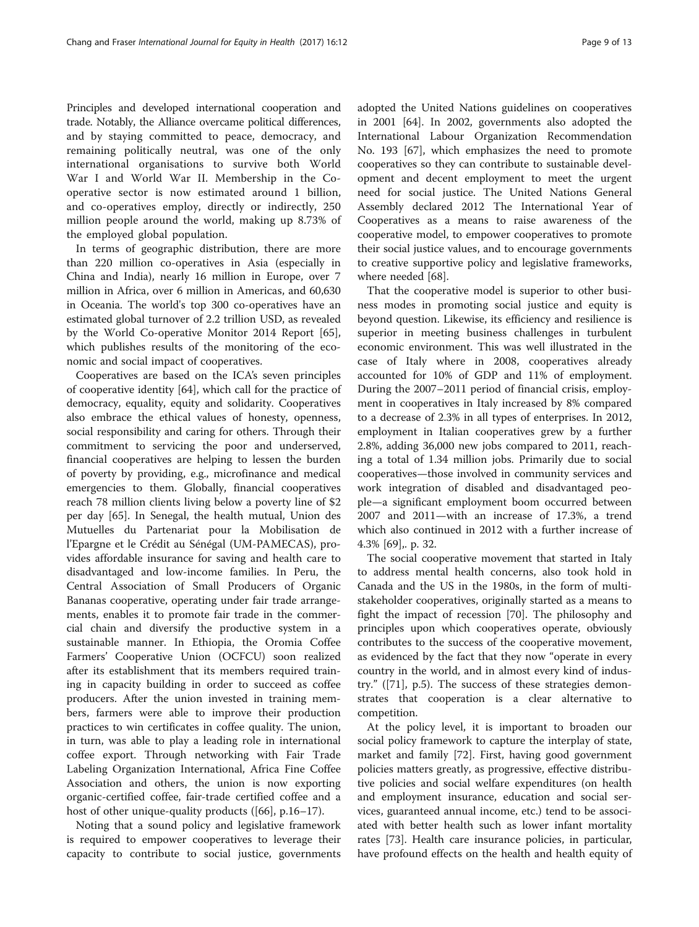Principles and developed international cooperation and trade. Notably, the Alliance overcame political differences, and by staying committed to peace, democracy, and remaining politically neutral, was one of the only international organisations to survive both World War I and World War II. Membership in the Cooperative sector is now estimated around 1 billion, and co-operatives employ, directly or indirectly, 250 million people around the world, making up 8.73% of the employed global population.

In terms of geographic distribution, there are more than 220 million co-operatives in Asia (especially in China and India), nearly 16 million in Europe, over 7 million in Africa, over 6 million in Americas, and 60,630 in Oceania. The world's top 300 co-operatives have an estimated global turnover of 2.2 trillion USD, as revealed by the World Co-operative Monitor 2014 Report [\[65](#page-12-0)], which publishes results of the monitoring of the economic and social impact of cooperatives.

Cooperatives are based on the ICA's seven principles of cooperative identity [[64](#page-12-0)], which call for the practice of democracy, equality, equity and solidarity. Cooperatives also embrace the ethical values of honesty, openness, social responsibility and caring for others. Through their commitment to servicing the poor and underserved, financial cooperatives are helping to lessen the burden of poverty by providing, e.g., microfinance and medical emergencies to them. Globally, financial cooperatives reach 78 million clients living below a poverty line of \$2 per day [[65\]](#page-12-0). In Senegal, the health mutual, Union des Mutuelles du Partenariat pour la Mobilisation de l'Epargne et le Crédit au Sénégal (UM-PAMECAS), provides affordable insurance for saving and health care to disadvantaged and low-income families. In Peru, the Central Association of Small Producers of Organic Bananas cooperative, operating under fair trade arrangements, enables it to promote fair trade in the commercial chain and diversify the productive system in a sustainable manner. In Ethiopia, the Oromia Coffee Farmers' Cooperative Union (OCFCU) soon realized after its establishment that its members required training in capacity building in order to succeed as coffee producers. After the union invested in training members, farmers were able to improve their production practices to win certificates in coffee quality. The union, in turn, was able to play a leading role in international coffee export. Through networking with Fair Trade Labeling Organization International, Africa Fine Coffee Association and others, the union is now exporting organic-certified coffee, fair-trade certified coffee and a host of other unique-quality products ([\[66\]](#page-12-0), p.16–17).

Noting that a sound policy and legislative framework is required to empower cooperatives to leverage their capacity to contribute to social justice, governments adopted the United Nations guidelines on cooperatives in 2001 [\[64](#page-12-0)]. In 2002, governments also adopted the International Labour Organization Recommendation No. 193 [\[67](#page-12-0)], which emphasizes the need to promote cooperatives so they can contribute to sustainable development and decent employment to meet the urgent need for social justice. The United Nations General Assembly declared 2012 The International Year of Cooperatives as a means to raise awareness of the cooperative model, to empower cooperatives to promote their social justice values, and to encourage governments to creative supportive policy and legislative frameworks, where needed [\[68](#page-12-0)].

That the cooperative model is superior to other business modes in promoting social justice and equity is beyond question. Likewise, its efficiency and resilience is superior in meeting business challenges in turbulent economic environment. This was well illustrated in the case of Italy where in 2008, cooperatives already accounted for 10% of GDP and 11% of employment. During the 2007–2011 period of financial crisis, employment in cooperatives in Italy increased by 8% compared to a decrease of 2.3% in all types of enterprises. In 2012, employment in Italian cooperatives grew by a further 2.8%, adding 36,000 new jobs compared to 2011, reaching a total of 1.34 million jobs. Primarily due to social cooperatives—those involved in community services and work integration of disabled and disadvantaged people—a significant employment boom occurred between 2007 and 2011—with an increase of 17.3%, a trend which also continued in 2012 with a further increase of 4.3% [[69](#page-12-0)],. p. 32.

The social cooperative movement that started in Italy to address mental health concerns, also took hold in Canada and the US in the 1980s, in the form of multistakeholder cooperatives, originally started as a means to fight the impact of recession [[70](#page-12-0)]. The philosophy and principles upon which cooperatives operate, obviously contributes to the success of the cooperative movement, as evidenced by the fact that they now "operate in every country in the world, and in almost every kind of industry." ([\[71\]](#page-12-0), p.5). The success of these strategies demonstrates that cooperation is a clear alternative to competition.

At the policy level, it is important to broaden our social policy framework to capture the interplay of state, market and family [[72](#page-12-0)]. First, having good government policies matters greatly, as progressive, effective distributive policies and social welfare expenditures (on health and employment insurance, education and social services, guaranteed annual income, etc.) tend to be associated with better health such as lower infant mortality rates [[73\]](#page-12-0). Health care insurance policies, in particular, have profound effects on the health and health equity of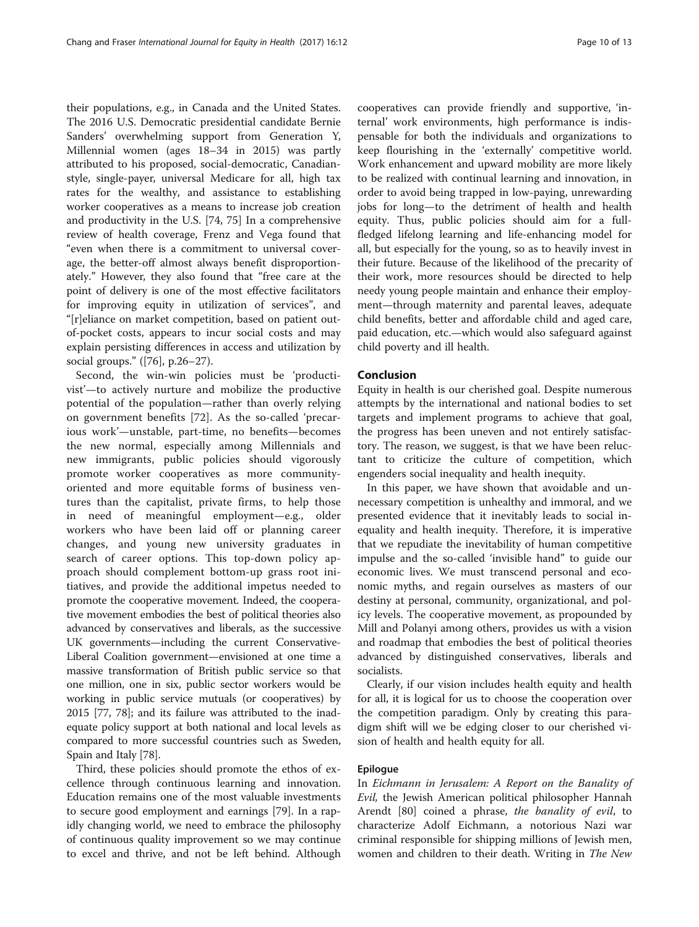their populations, e.g., in Canada and the United States. The 2016 U.S. Democratic presidential candidate Bernie Sanders' overwhelming support from Generation Y, Millennial women (ages 18–34 in 2015) was partly attributed to his proposed, social-democratic, Canadianstyle, single-payer, universal Medicare for all, high tax rates for the wealthy, and assistance to establishing worker cooperatives as a means to increase job creation and productivity in the U.S. [[74, 75](#page-12-0)] In a comprehensive review of health coverage, Frenz and Vega found that "even when there is a commitment to universal coverage, the better-off almost always benefit disproportionately." However, they also found that "free care at the point of delivery is one of the most effective facilitators for improving equity in utilization of services", and "[r]eliance on market competition, based on patient outof-pocket costs, appears to incur social costs and may explain persisting differences in access and utilization by social groups." ([\[76](#page-12-0)], p.26–27).

Second, the win-win policies must be 'productivist'—to actively nurture and mobilize the productive potential of the population—rather than overly relying on government benefits [[72\]](#page-12-0). As the so-called 'precarious work'—unstable, part-time, no benefits—becomes the new normal, especially among Millennials and new immigrants, public policies should vigorously promote worker cooperatives as more communityoriented and more equitable forms of business ventures than the capitalist, private firms, to help those in need of meaningful employment—e.g., older workers who have been laid off or planning career changes, and young new university graduates in search of career options. This top-down policy approach should complement bottom-up grass root initiatives, and provide the additional impetus needed to promote the cooperative movement. Indeed, the cooperative movement embodies the best of political theories also advanced by conservatives and liberals, as the successive UK governments—including the current Conservative-Liberal Coalition government—envisioned at one time a massive transformation of British public service so that one million, one in six, public sector workers would be working in public service mutuals (or cooperatives) by 2015 [\[77, 78](#page-12-0)]; and its failure was attributed to the inadequate policy support at both national and local levels as compared to more successful countries such as Sweden, Spain and Italy [\[78\]](#page-12-0).

Third, these policies should promote the ethos of excellence through continuous learning and innovation. Education remains one of the most valuable investments to secure good employment and earnings [\[79](#page-12-0)]. In a rapidly changing world, we need to embrace the philosophy of continuous quality improvement so we may continue to excel and thrive, and not be left behind. Although

cooperatives can provide friendly and supportive, 'internal' work environments, high performance is indispensable for both the individuals and organizations to keep flourishing in the 'externally' competitive world. Work enhancement and upward mobility are more likely to be realized with continual learning and innovation, in order to avoid being trapped in low-paying, unrewarding jobs for long—to the detriment of health and health equity. Thus, public policies should aim for a fullfledged lifelong learning and life-enhancing model for all, but especially for the young, so as to heavily invest in their future. Because of the likelihood of the precarity of their work, more resources should be directed to help needy young people maintain and enhance their employment—through maternity and parental leaves, adequate child benefits, better and affordable child and aged care, paid education, etc.—which would also safeguard against child poverty and ill health.

# Conclusion

Equity in health is our cherished goal. Despite numerous attempts by the international and national bodies to set targets and implement programs to achieve that goal, the progress has been uneven and not entirely satisfactory. The reason, we suggest, is that we have been reluctant to criticize the culture of competition, which engenders social inequality and health inequity.

In this paper, we have shown that avoidable and unnecessary competition is unhealthy and immoral, and we presented evidence that it inevitably leads to social inequality and health inequity. Therefore, it is imperative that we repudiate the inevitability of human competitive impulse and the so-called 'invisible hand" to guide our economic lives. We must transcend personal and economic myths, and regain ourselves as masters of our destiny at personal, community, organizational, and policy levels. The cooperative movement, as propounded by Mill and Polanyi among others, provides us with a vision and roadmap that embodies the best of political theories advanced by distinguished conservatives, liberals and socialists.

Clearly, if our vision includes health equity and health for all, it is logical for us to choose the cooperation over the competition paradigm. Only by creating this paradigm shift will we be edging closer to our cherished vision of health and health equity for all.

# Epilogue

In Eichmann in Jerusalem: A Report on the Banality of Evil, the Jewish American political philosopher Hannah Arendt [\[80](#page-12-0)] coined a phrase, the banality of evil, to characterize Adolf Eichmann, a notorious Nazi war criminal responsible for shipping millions of Jewish men, women and children to their death. Writing in The New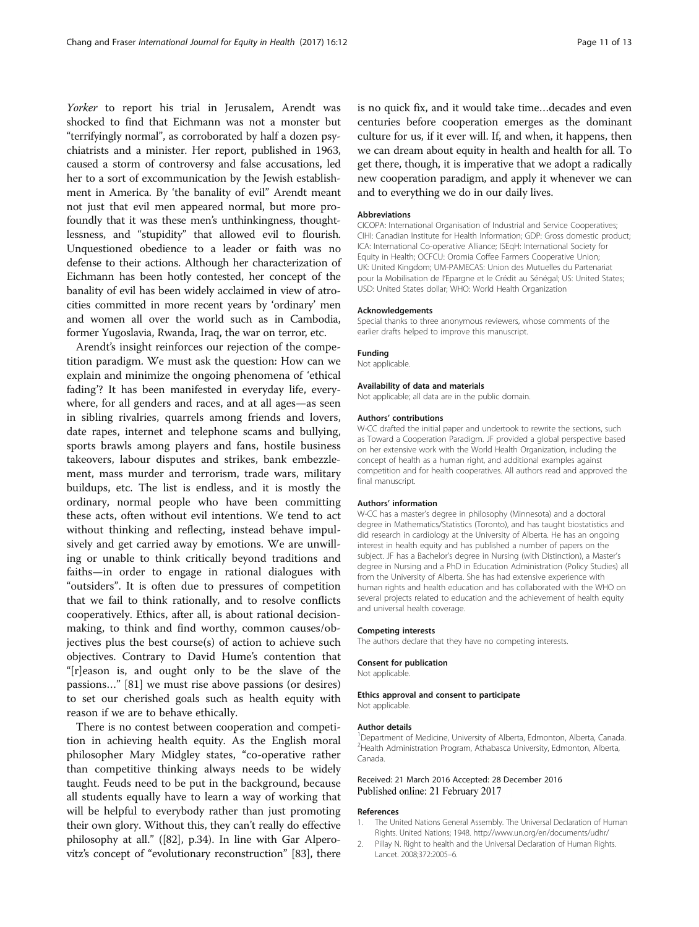<span id="page-10-0"></span>Yorker to report his trial in Jerusalem, Arendt was shocked to find that Eichmann was not a monster but "terrifyingly normal", as corroborated by half a dozen psychiatrists and a minister. Her report, published in 1963, caused a storm of controversy and false accusations, led her to a sort of excommunication by the Jewish establishment in America. By 'the banality of evil" Arendt meant not just that evil men appeared normal, but more profoundly that it was these men's unthinkingness, thoughtlessness, and "stupidity" that allowed evil to flourish. Unquestioned obedience to a leader or faith was no defense to their actions. Although her characterization of Eichmann has been hotly contested, her concept of the banality of evil has been widely acclaimed in view of atrocities committed in more recent years by 'ordinary' men and women all over the world such as in Cambodia, former Yugoslavia, Rwanda, Iraq, the war on terror, etc.

Arendt's insight reinforces our rejection of the competition paradigm. We must ask the question: How can we explain and minimize the ongoing phenomena of 'ethical fading'? It has been manifested in everyday life, everywhere, for all genders and races, and at all ages—as seen in sibling rivalries, quarrels among friends and lovers, date rapes, internet and telephone scams and bullying, sports brawls among players and fans, hostile business takeovers, labour disputes and strikes, bank embezzlement, mass murder and terrorism, trade wars, military buildups, etc. The list is endless, and it is mostly the ordinary, normal people who have been committing these acts, often without evil intentions. We tend to act without thinking and reflecting, instead behave impulsively and get carried away by emotions. We are unwilling or unable to think critically beyond traditions and faiths—in order to engage in rational dialogues with "outsiders". It is often due to pressures of competition that we fail to think rationally, and to resolve conflicts cooperatively. Ethics, after all, is about rational decisionmaking, to think and find worthy, common causes/objectives plus the best course(s) of action to achieve such objectives. Contrary to David Hume's contention that "[r]eason is, and ought only to be the slave of the passions…" [\[81\]](#page-12-0) we must rise above passions (or desires) to set our cherished goals such as health equity with reason if we are to behave ethically.

There is no contest between cooperation and competition in achieving health equity. As the English moral philosopher Mary Midgley states, "co-operative rather than competitive thinking always needs to be widely taught. Feuds need to be put in the background, because all students equally have to learn a way of working that will be helpful to everybody rather than just promoting their own glory. Without this, they can't really do effective philosophy at all." ([[82](#page-12-0)], p.34). In line with Gar Alperovitz's concept of "evolutionary reconstruction" [[83](#page-12-0)], there is no quick fix, and it would take time…decades and even centuries before cooperation emerges as the dominant culture for us, if it ever will. If, and when, it happens, then we can dream about equity in health and health for all. To get there, though, it is imperative that we adopt a radically new cooperation paradigm, and apply it whenever we can and to everything we do in our daily lives.

#### Abbreviations

CICOPA: International Organisation of Industrial and Service Cooperatives; CIHI: Canadian Institute for Health Information; GDP: Gross domestic product; ICA: International Co-operative Alliance; ISEqH: International Society for Equity in Health; OCFCU: Oromia Coffee Farmers Cooperative Union; UK: United Kingdom; UM-PAMECAS: Union des Mutuelles du Partenariat pour la Mobilisation de l'Epargne et le Crédit au Sénégal; US: United States; USD: United States dollar; WHO: World Health Organization

## Acknowledgements

Special thanks to three anonymous reviewers, whose comments of the earlier drafts helped to improve this manuscript.

## Funding

Not applicable.

#### Availability of data and materials

Not applicable; all data are in the public domain.

#### Authors' contributions

W-CC drafted the initial paper and undertook to rewrite the sections, such as Toward a Cooperation Paradigm. JF provided a global perspective based on her extensive work with the World Health Organization, including the concept of health as a human right, and additional examples against competition and for health cooperatives. All authors read and approved the final manuscript.

## Authors' information

W-CC has a master's degree in philosophy (Minnesota) and a doctoral degree in Mathematics/Statistics (Toronto), and has taught biostatistics and did research in cardiology at the University of Alberta. He has an ongoing interest in health equity and has published a number of papers on the subject. JF has a Bachelor's degree in Nursing (with Distinction), a Master's degree in Nursing and a PhD in Education Administration (Policy Studies) all from the University of Alberta. She has had extensive experience with human rights and health education and has collaborated with the WHO on several projects related to education and the achievement of health equity and universal health coverage.

#### Competing interests

The authors declare that they have no competing interests.

# Consent for publication

Not applicable.

# Ethics approval and consent to participate Not applicable.

#### Author details

<sup>1</sup> Department of Medicine, University of Alberta, Edmonton, Alberta, Canada. <sup>2</sup> Health Administration Program, Athabasca University, Edmonton, Alberta Canada.

## Received: 21 March 2016 Accepted: 28 December 2016 Published online: 21 February 2017

#### References

- 1. The United Nations General Assembly. The Universal Declaration of Human Rights. United Nations; 1948. http://www.un.org/en/documents/udhr/
- 2. Pillay N. Right to health and the Universal Declaration of Human Rights. Lancet. 2008;372:2005–6.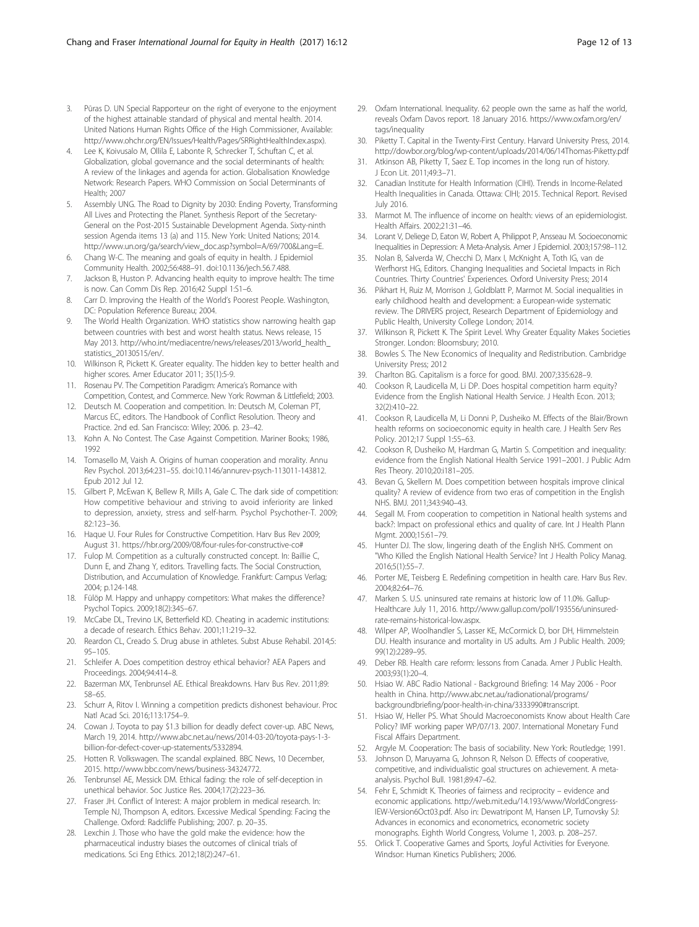- <span id="page-11-0"></span>3. Pūras D. UN Special Rapporteur on the right of everyone to the enjoyment of the highest attainable standard of physical and mental health. 2014. United Nations Human Rights Office of the High Commissioner, Available: [http://www.ohchr.org/EN/Issues/Health/Pages/SRRightHealthIndex.aspx\)](http://www.ohchr.org/EN/Issues/Health/Pages/SRRightHealthIndex.aspx).
- 4. Lee K, Koivusalo M, Ollila E, Labonte R, Schrecker T, Schuftan C, et al. Globalization, global governance and the social determinants of health: A review of the linkages and agenda for action. Globalisation Knowledge Network: Research Papers. WHO Commission on Social Determinants of Health; 2007
- 5. Assembly UNG. The Road to Dignity by 2030: Ending Poverty, Transforming All Lives and Protecting the Planet. Synthesis Report of the Secretary-General on the Post-2015 Sustainable Development Agenda. Sixty-ninth session Agenda items 13 (a) and 115. New York: United Nations; 2014. [http://www.un.org/ga/search/view\\_doc.asp?symbol=A/69/700&Lang=E.](http://www.un.org/ga/search/view_doc.asp?symbol=A/69/700&Lang=E)
- 6. Chang W-C. The meaning and goals of equity in health. J Epidemiol Community Health. 2002;56:488–91. doi[:10.1136/jech.56.7.488](http://dx.doi.org/10.1136/jech.56.7.488).
- 7. Jackson B, Huston P. Advancing health equity to improve health: The time is now. Can Comm Dis Rep. 2016;42 Suppl 1:S1–6.
- 8. Carr D. Improving the Health of the World's Poorest People. Washington, DC: Population Reference Bureau; 2004.
- The World Health Organization. WHO statistics show narrowing health gap between countries with best and worst health status. News release, 15 May 2013. [http://who.int/mediacentre/news/releases/2013/world\\_health\\_](http://who.int/mediacentre/news/releases/2013/world_health_statistics_20130515/en/) [statistics\\_20130515/en/](http://who.int/mediacentre/news/releases/2013/world_health_statistics_20130515/en/).
- Wilkinson R, Pickett K. Greater equality. The hidden key to better health and higher scores. Amer Educator 2011; 35(1):5-9.
- 11. Rosenau PV. The Competition Paradigm: America's Romance with Competition, Contest, and Commerce. New York: Rowman & Littlefield; 2003.
- 12. Deutsch M. Cooperation and competition. In: Deutsch M, Coleman PT, Marcus EC, editors. The Handbook of Conflict Resolution. Theory and Practice. 2nd ed. San Francisco: Wiley; 2006. p. 23–42.
- 13. Kohn A. No Contest. The Case Against Competition. Mariner Books; 1986, 1992
- 14. Tomasello M, Vaish A. Origins of human cooperation and morality. Annu Rev Psychol. 2013;64:231–55. doi:[10.1146/annurev-psych-113011-143812.](http://dx.doi.org/10.1146/annurev-psych-113011-143812) Epub 2012 Jul 12.
- 15. Gilbert P, McEwan K, Bellew R, Mills A, Gale C. The dark side of competition: How competitive behaviour and striving to avoid inferiority are linked to depression, anxiety, stress and self-harm. Psychol Psychother-T. 2009; 82:123–36.
- 16. Haque U. Four Rules for Constructive Competition. Harv Bus Rev 2009; August 31.<https://hbr.org/2009/08/four-rules-for-constructive-co>#
- 17. Fulop M. Competition as a culturally constructed concept. In: Baillie C, Dunn E, and Zhang Y, editors. Travelling facts. The Social Construction, Distribution, and Accumulation of Knowledge. Frankfurt: Campus Verlag; 2004; p.124-148.
- 18. Fülöp M. Happy and unhappy competitors: What makes the difference? Psychol Topics. 2009;18(2):345–67.
- 19. McCabe DL, Trevino LK, Betterfield KD. Cheating in academic institutions: a decade of research. Ethics Behav. 2001;11:219–32.
- 20. Reardon CL, Creado S. Drug abuse in athletes. Subst Abuse Rehabil. 2014;5: 95–105.
- 21. Schleifer A. Does competition destroy ethical behavior? AEA Papers and Proceedings. 2004;94:414–8.
- 22. Bazerman MX, Tenbrunsel AE. Ethical Breakdowns. Harv Bus Rev. 2011;89: 58–65.
- 23. Schurr A, Ritov I. Winning a competition predicts dishonest behaviour. Proc Natl Acad Sci. 2016;113:1754–9.
- 24. Cowan J. Toyota to pay \$1.3 billion for deadly defect cover-up. ABC News, March 19, 2014. [http://www.abc.net.au/news/2014-03-20/toyota-pays-1-3](http://www.abc.net.au/news/2014-03-20/toyota-pays-1-3-billion-for-defect-cover-up-statements/5332894) [billion-for-defect-cover-up-statements/5332894.](http://www.abc.net.au/news/2014-03-20/toyota-pays-1-3-billion-for-defect-cover-up-statements/5332894)
- 25. Hotten R. Volkswagen. The scandal explained. BBC News, 10 December, 2015.<http://www.bbc.com/news/business-34324772>.
- 26. Tenbrunsel AE, Messick DM. Ethical fading: the role of self-deception in unethical behavior. Soc Justice Res. 2004;17(2):223–36.
- 27. Fraser JH. Conflict of Interest: A major problem in medical research. In: Temple NJ, Thompson A, editors. Excessive Medical Spending: Facing the Challenge. Oxford: Radcliffe Publishing; 2007. p. 20–35.
- 28. Lexchin J. Those who have the gold make the evidence: how the pharmaceutical industry biases the outcomes of clinical trials of medications. Sci Eng Ethics. 2012;18(2):247–61.
- 29. Oxfam International. Inequality. 62 people own the same as half the world, reveals Oxfam Davos report. 18 January 2016. [https://www.oxfam.org/en/](https://www.oxfam.org/en/tags/inequality) [tags/inequality](https://www.oxfam.org/en/tags/inequality)
- 30. Piketty T. Capital in the Twenty-First Century. Harvard University Press, 2014. http://dowbor.org/blog/wp-content/uploads/2014/06/14Thomas-Piketty.pdf
- 31. Atkinson AB, Piketty T, Saez E. Top incomes in the long run of history. J Econ Lit. 2011;49:3–71.
- 32. Canadian Institute for Health Information (CIHI). Trends in Income-Related Health Inequalities in Canada. Ottawa: CIHI; 2015. Technical Report. Revised July 2016.
- 33. Marmot M. The influence of income on health: views of an epidemiologist. Health Affairs. 2002;21:31–46.
- 34. Lorant V, Deliege D, Eaton W, Robert A, Philippot P, Ansseau M. Socioeconomic Inequalities in Depression: A Meta-Analysis. Amer J Epidemiol. 2003;157:98–112.
- 35. Nolan B, Salverda W, Checchi D, Marx I, McKnight A, Toth IG, van de Werfhorst HG, Editors. Changing Inequalities and Societal Impacts in Rich Countries. Thirty Countries' Experiences. Oxford University Press; 2014
- 36. Pikhart H, Ruiz M, Morrison J, Goldblatt P, Marmot M. Social inequalities in early childhood health and development: a European-wide systematic review. The DRIVERS project, Research Department of Epidemiology and Public Health, University College London; 2014.
- 37. Wilkinson R, Pickett K. The Spirit Level. Why Greater Equality Makes Societies Stronger. London: Bloomsbury; 2010.
- 38. Bowles S. The New Economics of Inequality and Redistribution. Cambridge University Press; 2012
- 39. Charlton BG. Capitalism is a force for good. BMJ. 2007;335:628–9.
- 40. Cookson R, Laudicella M, Li DP. Does hospital competition harm equity? Evidence from the English National Health Service. J Health Econ. 2013; 32(2):410–22.
- 41. Cookson R, Laudicella M, Li Donni P, Dusheiko M. Effects of the Blair/Brown health reforms on socioeconomic equity in health care. J Health Serv Res Policy. 2012;17 Suppl 1:55–63.
- 42. Cookson R, Dusheiko M, Hardman G, Martin S. Competition and inequality: evidence from the English National Health Service 1991–2001. J Public Adm Res Theory. 2010;20:i181–205.
- 43. Bevan G, Skellern M. Does competition between hospitals improve clinical quality? A review of evidence from two eras of competition in the English NHS. BMJ. 2011;343:940–43.
- 44. Segall M. From cooperation to competition in National health systems and back?: Impact on professional ethics and quality of care. Int J Health Plann Mgmt. 2000;15:61–79.
- 45. Hunter DJ. The slow, lingering death of the English NHS. Comment on "Who Killed the English National Health Service? Int J Health Policy Manag. 2016;5(1):55–7.
- 46. Porter ME, Teisberg E. Redefining competition in health care. Harv Bus Rev. 2004;82:64–76.
- 47. Marken S. U.S. uninsured rate remains at historic low of 11.0%. Gallup-Healthcare July 11, 2016. [http://www.gallup.com/poll/193556/uninsured](http://www.gallup.com/poll/193556/uninsured-rate-remains-historical-low.aspx)[rate-remains-historical-low.aspx.](http://www.gallup.com/poll/193556/uninsured-rate-remains-historical-low.aspx)
- 48. Wilper AP, Woolhandler S, Lasser KE, McCormick D, bor DH, Himmelstein DU. Health insurance and mortality in US adults. Am J Public Health. 2009; 99(12):2289–95.
- 49. Deber RB. Health care reform: lessons from Canada. Amer J Public Health. 2003;93(1):20–4.
- 50. Hsiao W. ABC Radio National Background Briefing: 14 May 2006 Poor health in China. [http://www.abc.net.au/radionational/programs/](http://www.abc.net.au/radionational/programs/backgroundbriefing/poor-health-in-china/3333990#transcript) [backgroundbriefing/poor-health-in-china/3333990#transcript](http://www.abc.net.au/radionational/programs/backgroundbriefing/poor-health-in-china/3333990#transcript).
- 51. Hsiao W, Heller PS. What Should Macroeconomists Know about Health Care Policy? IMF working paper WP/07/13. 2007. International Monetary Fund Fiscal Affairs Department.
- 52. Argyle M. Cooperation: The basis of sociability. New York: Routledge; 1991.
- 53. Johnson D, Maruyama G, Johnson R, Nelson D. Effects of cooperative, competitive, and individualistic goal structures on achievement. A metaanalysis. Psychol Bull. 1981;89:47–62.
- 54. Fehr E, Schmidt K. Theories of fairness and reciprocity evidence and economic applications. [http://web.mit.edu/14.193/www/WorldCongress-](http://web.mit.edu/14.193/www/WorldCongress-IEW-Version6Oct03.pdf)[IEW-Version6Oct03.pdf](http://web.mit.edu/14.193/www/WorldCongress-IEW-Version6Oct03.pdf). Also in: Dewatripont M, Hansen LP, Turnovsky SJ: Advances in economics and econometrics, econometric society monographs. Eighth World Congress, Volume 1, 2003. p. 208–257.
- 55. Orlick T. Cooperative Games and Sports, Joyful Activities for Everyone. Windsor: Human Kinetics Publishers; 2006.